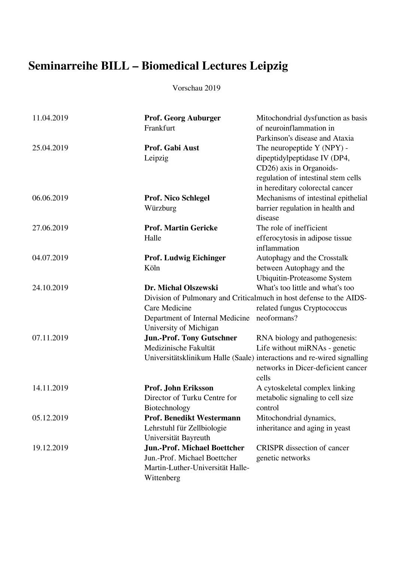## **Seminarreihe BILL – Biomedical Lectures Leipzig**

Vorschau 2019

| 11.04.2019 | <b>Prof. Georg Auburger</b><br>Frankfurt | Mitochondrial dysfunction as basis<br>of neuroinflammation in<br>Parkinson's disease and Ataxia                                                                  |
|------------|------------------------------------------|------------------------------------------------------------------------------------------------------------------------------------------------------------------|
| 25.04.2019 | Prof. Gabi Aust<br>Leipzig               | The neuropeptide Y (NPY) -<br>dipeptidylpeptidase IV (DP4,<br>CD26) axis in Organoids-<br>regulation of intestinal stem cells<br>in hereditary colorectal cancer |
| 06.06.2019 | <b>Prof. Nico Schlegel</b>               | Mechanisms of intestinal epithelial                                                                                                                              |
|            | Würzburg                                 | barrier regulation in health and<br>disease                                                                                                                      |
| 27.06.2019 | <b>Prof. Martin Gericke</b>              | The role of inefficient                                                                                                                                          |
|            | Halle                                    | efferocytosis in adipose tissue<br>inflammation                                                                                                                  |
| 04.07.2019 | <b>Prof. Ludwig Eichinger</b>            | Autophagy and the Crosstalk                                                                                                                                      |
|            | Köln                                     | between Autophagy and the                                                                                                                                        |
|            |                                          | Ubiquitin-Proteasome System                                                                                                                                      |
| 24.10.2019 | Dr. Michal Olszewski                     | What's too little and what's too                                                                                                                                 |
|            |                                          | Division of Pulmonary and Criticalmuch in host defense to the AIDS-                                                                                              |
|            | Care Medicine                            | related fungus Cryptococcus                                                                                                                                      |
|            | Department of Internal Medicine          | neoformans?                                                                                                                                                      |
|            | University of Michigan                   |                                                                                                                                                                  |
| 07.11.2019 | <b>Jun.-Prof. Tony Gutschner</b>         | RNA biology and pathogenesis:                                                                                                                                    |
|            | Medizinische Fakultät                    | Life without miRNAs - genetic                                                                                                                                    |
|            |                                          | Universitätsklinikum Halle (Saale) interactions and re-wired signalling<br>networks in Dicer-deficient cancer<br>cells                                           |
| 14.11.2019 | Prof. John Eriksson                      | A cytoskeletal complex linking                                                                                                                                   |
|            | Director of Turku Centre for             | metabolic signaling to cell size                                                                                                                                 |
|            | Biotechnology                            | control                                                                                                                                                          |
| 05.12.2019 | <b>Prof. Benedikt Westermann</b>         | Mitochondrial dynamics,                                                                                                                                          |
|            | Lehrstuhl für Zellbiologie               | inheritance and aging in yeast                                                                                                                                   |
|            | Universität Bayreuth                     |                                                                                                                                                                  |
| 19.12.2019 | <b>Jun.-Prof. Michael Boettcher</b>      | <b>CRISPR</b> dissection of cancer                                                                                                                               |
|            | Jun.-Prof. Michael Boettcher             | genetic networks                                                                                                                                                 |
|            | Martin-Luther-Universität Halle-         |                                                                                                                                                                  |
|            | Wittenberg                               |                                                                                                                                                                  |